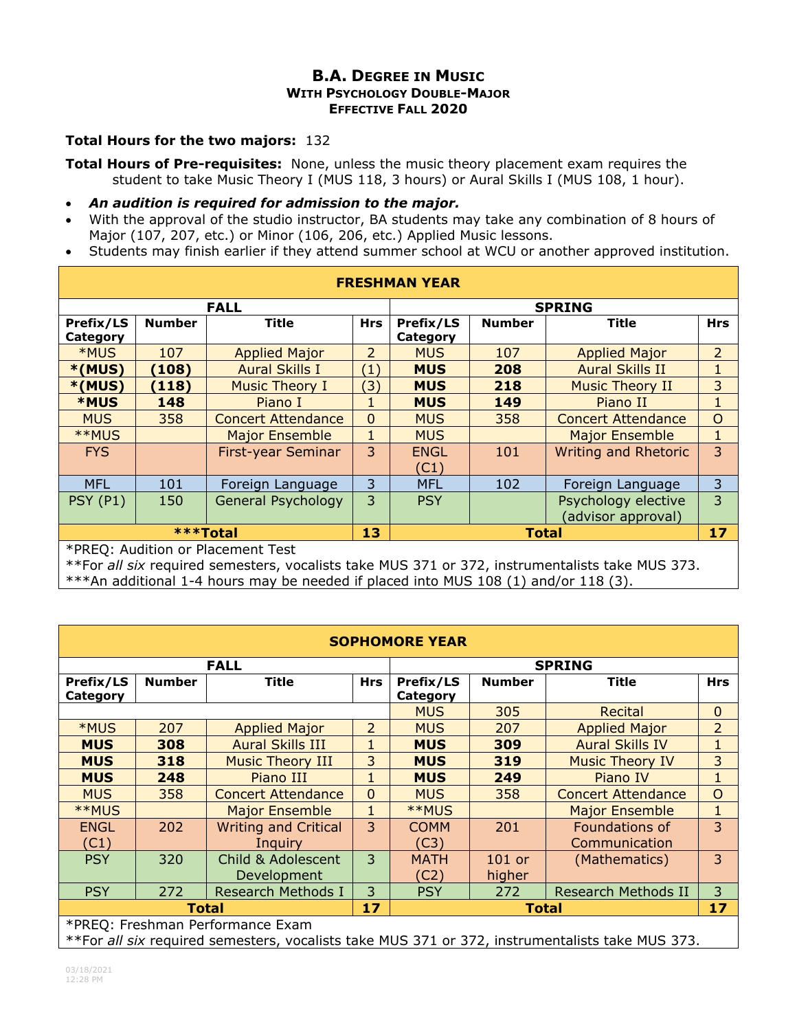## **B.A. DEGREE IN MUSIC WITH PSYCHOLOGY DOUBLE-MAJOR EFFECTIVE FALL 2020**

## **Total Hours for the two majors:** 132

**Total Hours of Pre-requisites:** None, unless the music theory placement exam requires the student to take Music Theory I (MUS 118, 3 hours) or Aural Skills I (MUS 108, 1 hour).

- *An audition is required for admission to the major.*
- With the approval of the studio instructor, BA students may take any combination of 8 hours of Major (107, 207, etc.) or Minor (106, 206, etc.) Applied Music lessons.
- Students may finish earlier if they attend summer school at WCU or another approved institution.

| <b>FRESHMAN YEAR</b>              |               |                           |                  |               |               |                             |                |  |  |
|-----------------------------------|---------------|---------------------------|------------------|---------------|---------------|-----------------------------|----------------|--|--|
| <b>FALL</b>                       |               |                           |                  | <b>SPRING</b> |               |                             |                |  |  |
| Prefix/LS                         | <b>Number</b> | <b>Title</b>              | <b>Hrs</b>       | Prefix/LS     | <b>Number</b> | <b>Title</b>                | <b>Hrs</b>     |  |  |
| Category                          |               |                           |                  | Category      |               |                             |                |  |  |
| *MUS                              | 107           | <b>Applied Major</b>      | 2                | <b>MUS</b>    | 107           | <b>Applied Major</b>        | $\overline{2}$ |  |  |
| $*(MUS)$                          | (108)         | <b>Aural Skills I</b>     | $\left(1\right)$ | <b>MUS</b>    | 208           | <b>Aural Skills II</b>      | 1              |  |  |
| $*(MUS)$                          | (118)         | <b>Music Theory I</b>     | $\mathbf{3}$     | <b>MUS</b>    | 218           | <b>Music Theory II</b>      | 3              |  |  |
| <b>*MUS</b>                       | 148           | Piano I                   |                  | <b>MUS</b>    | 149           | Piano II                    |                |  |  |
| <b>MUS</b>                        | 358           | <b>Concert Attendance</b> | $\mathbf 0$      | <b>MUS</b>    | 358           | <b>Concert Attendance</b>   | $\circ$        |  |  |
| **MUS                             |               | <b>Major Ensemble</b>     | 1                | <b>MUS</b>    |               | <b>Major Ensemble</b>       | 1              |  |  |
| <b>FYS</b>                        |               | First-year Seminar        | 3                | <b>ENGL</b>   | 101           | <b>Writing and Rhetoric</b> | 3              |  |  |
|                                   |               |                           |                  | (C1)          |               |                             |                |  |  |
| <b>MFL</b>                        | 101           | Foreign Language          | 3                | <b>MFL</b>    | 102           | Foreign Language            | 3              |  |  |
| <b>PSY (P1)</b>                   | 150           | General Psychology        | 3                | <b>PSY</b>    |               | Psychology elective         | 3              |  |  |
|                                   |               |                           |                  |               |               | (advisor approval)          |                |  |  |
| <b>***Total</b>                   |               |                           | 13               | <b>Total</b>  |               |                             | 17             |  |  |
| *PREO: Audition or Placement Test |               |                           |                  |               |               |                             |                |  |  |

\*PREQ: Audition or Placement Test

\*\*For *all six* required semesters, vocalists take MUS 371 or 372, instrumentalists take MUS 373.

\*\*\*An additional 1-4 hours may be needed if placed into MUS 108 (1) and/or 118 (3).

| <b>SOPHOMORE YEAR</b>                                                                           |               |                             |                |               |               |                            |                |  |
|-------------------------------------------------------------------------------------------------|---------------|-----------------------------|----------------|---------------|---------------|----------------------------|----------------|--|
| <b>FALL</b>                                                                                     |               |                             |                | <b>SPRING</b> |               |                            |                |  |
| Prefix/LS                                                                                       | <b>Number</b> | <b>Title</b>                | <b>Hrs</b>     | Prefix/LS     | <b>Number</b> | Title                      | <b>Hrs</b>     |  |
| Category                                                                                        |               |                             |                | Category      |               |                            |                |  |
|                                                                                                 |               |                             | <b>MUS</b>     | 305           | Recital       | $\mathbf 0$                |                |  |
| *MUS                                                                                            | 207           | <b>Applied Major</b>        | $\overline{2}$ | <b>MUS</b>    | 207           | <b>Applied Major</b>       | $\overline{2}$ |  |
| <b>MUS</b>                                                                                      | 308           | <b>Aural Skills III</b>     | 1              | <b>MUS</b>    | 309           | <b>Aural Skills IV</b>     | 1              |  |
| <b>MUS</b>                                                                                      | 318           | <b>Music Theory III</b>     | 3              | <b>MUS</b>    | 319           | <b>Music Theory IV</b>     | 3              |  |
| <b>MUS</b>                                                                                      | 248           | Piano III                   | 1              | <b>MUS</b>    | 249           | Piano IV                   | $\mathbf{1}$   |  |
| <b>MUS</b>                                                                                      | 358           | <b>Concert Attendance</b>   | $\mathbf{0}$   | <b>MUS</b>    | 358           | <b>Concert Attendance</b>  | $\overline{O}$ |  |
| **MUS                                                                                           |               | <b>Major Ensemble</b>       | $\mathbf{1}$   | **MUS         |               | <b>Major Ensemble</b>      | $\mathbf{1}$   |  |
| <b>ENGL</b>                                                                                     | 202           | <b>Writing and Critical</b> | 3              | <b>COMM</b>   | 201           | Foundations of             | $\overline{3}$ |  |
| (C1)                                                                                            |               | Inguiry                     |                | (C3)          |               | Communication              |                |  |
| <b>PSY</b>                                                                                      | 320           | Child & Adolescent          | 3              | <b>MATH</b>   | $101$ or      | (Mathematics)              | 3              |  |
|                                                                                                 |               | <b>Development</b>          |                | (C2)          | higher        |                            |                |  |
| <b>PSY</b>                                                                                      | 272           | <b>Research Methods I</b>   | 3              | <b>PSY</b>    | 272           | <b>Research Methods II</b> | 3              |  |
| 17<br><b>Total</b>                                                                              |               |                             | <b>Total</b>   |               |               | 17                         |                |  |
| *PREQ: Freshman Performance Exam                                                                |               |                             |                |               |               |                            |                |  |
| **For all six required semesters, vocalists take MUS 371 or 372, instrumentalists take MUS 373. |               |                             |                |               |               |                            |                |  |